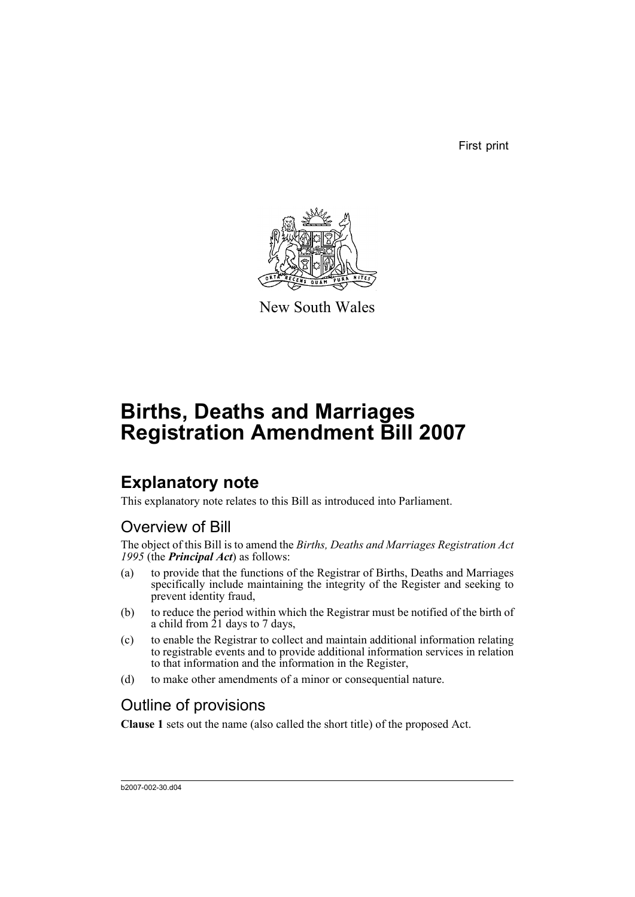First print



New South Wales

# **Births, Deaths and Marriages Registration Amendment Bill 2007**

## **Explanatory note**

This explanatory note relates to this Bill as introduced into Parliament.

## Overview of Bill

The object of this Bill is to amend the *Births, Deaths and Marriages Registration Act 1995* (the *Principal Act*) as follows:

- (a) to provide that the functions of the Registrar of Births, Deaths and Marriages specifically include maintaining the integrity of the Register and seeking to prevent identity fraud,
- (b) to reduce the period within which the Registrar must be notified of the birth of a child from 21 days to 7 days,
- (c) to enable the Registrar to collect and maintain additional information relating to registrable events and to provide additional information services in relation to that information and the information in the Register,
- (d) to make other amendments of a minor or consequential nature.

## Outline of provisions

**Clause 1** sets out the name (also called the short title) of the proposed Act.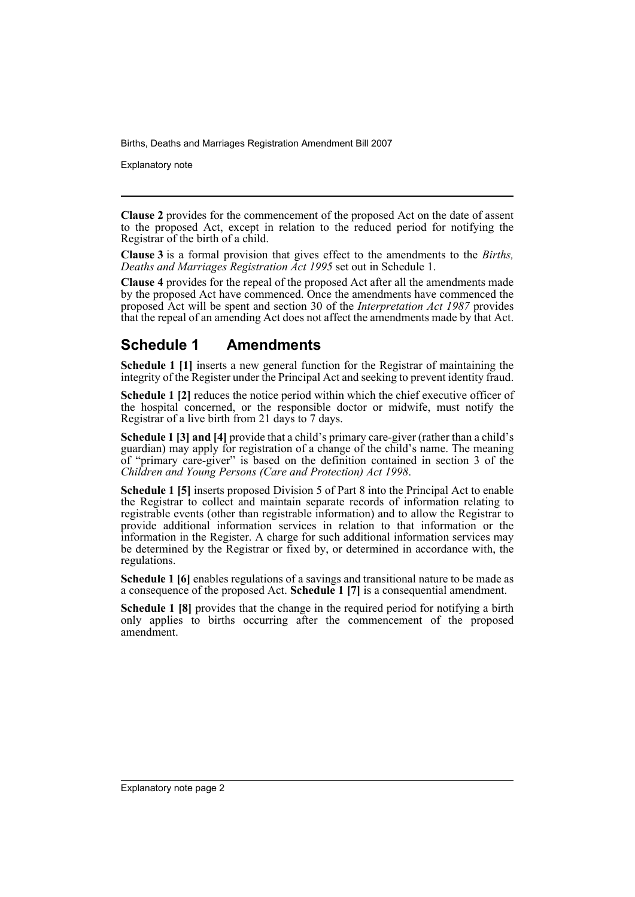Explanatory note

**Clause 2** provides for the commencement of the proposed Act on the date of assent to the proposed Act, except in relation to the reduced period for notifying the Registrar of the birth of a child.

**Clause 3** is a formal provision that gives effect to the amendments to the *Births, Deaths and Marriages Registration Act 1995* set out in Schedule 1.

**Clause 4** provides for the repeal of the proposed Act after all the amendments made by the proposed Act have commenced. Once the amendments have commenced the proposed Act will be spent and section 30 of the *Interpretation Act 1987* provides that the repeal of an amending Act does not affect the amendments made by that Act.

### **Schedule 1 Amendments**

**Schedule 1 [1]** inserts a new general function for the Registrar of maintaining the integrity of the Register under the Principal Act and seeking to prevent identity fraud.

**Schedule 1 [2]** reduces the notice period within which the chief executive officer of the hospital concerned, or the responsible doctor or midwife, must notify the Registrar of a live birth from 21 days to 7 days.

**Schedule 1 [3] and [4]** provide that a child's primary care-giver (rather than a child's guardian) may apply for registration of a change of the child's name. The meaning of "primary care-giver" is based on the definition contained in section 3 of the *Children and Young Persons (Care and Protection) Act 1998*.

**Schedule 1 [5]** inserts proposed Division 5 of Part 8 into the Principal Act to enable the Registrar to collect and maintain separate records of information relating to registrable events (other than registrable information) and to allow the Registrar to provide additional information services in relation to that information or the information in the Register. A charge for such additional information services may be determined by the Registrar or fixed by, or determined in accordance with, the regulations.

**Schedule 1 [6]** enables regulations of a savings and transitional nature to be made as a consequence of the proposed Act. **Schedule 1 [7]** is a consequential amendment.

**Schedule 1 [8]** provides that the change in the required period for notifying a birth only applies to births occurring after the commencement of the proposed amendment.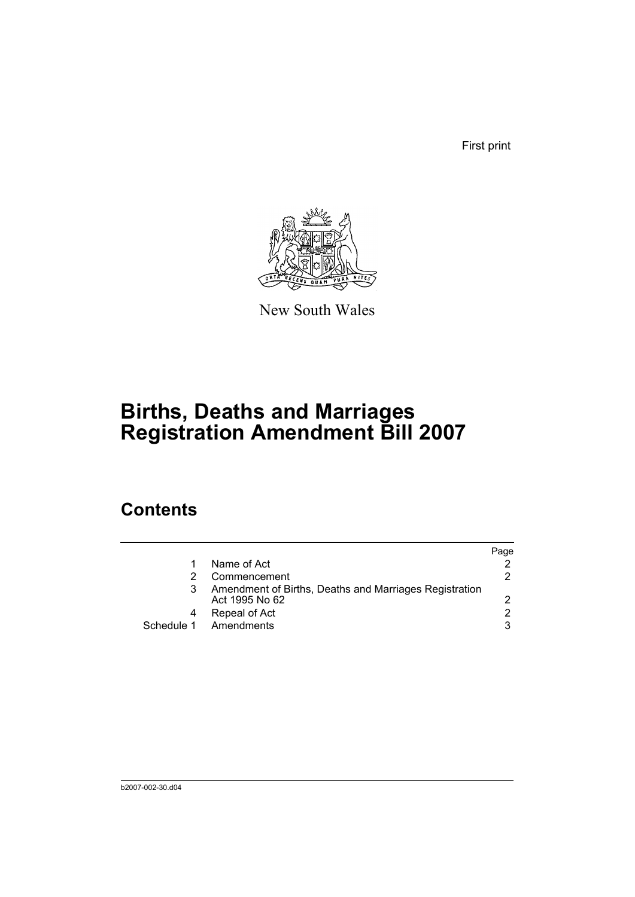First print



New South Wales

# **Births, Deaths and Marriages Registration Amendment Bill 2007**

## **Contents**

|   |                                                                          | Page |
|---|--------------------------------------------------------------------------|------|
|   | Name of Act                                                              |      |
|   | Commencement                                                             | 2.   |
| 3 | Amendment of Births, Deaths and Marriages Registration<br>Act 1995 No 62 |      |
| 4 | Repeal of Act                                                            | 2    |
|   | Schedule 1 Amendments                                                    | 3    |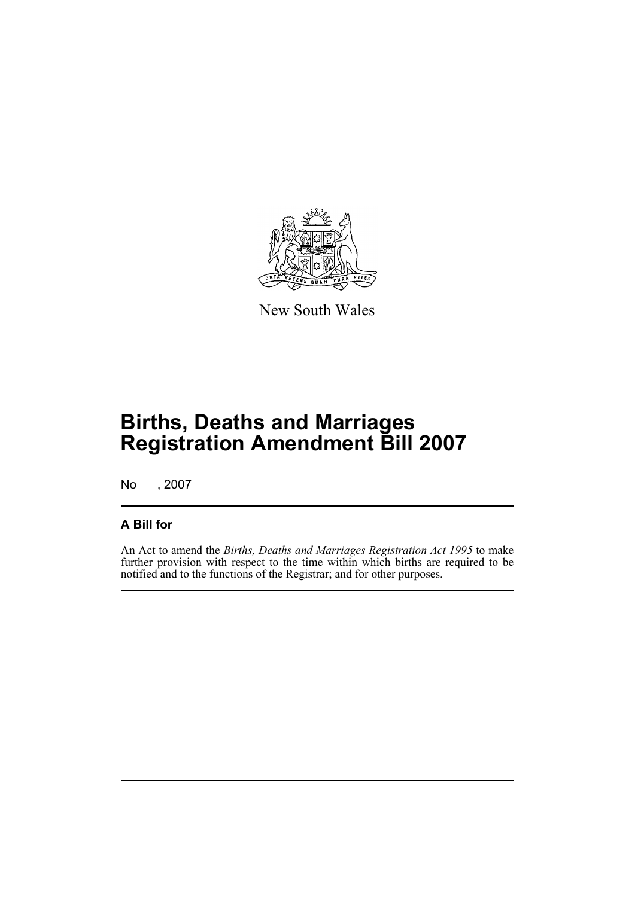

New South Wales

# **Births, Deaths and Marriages Registration Amendment Bill 2007**

No , 2007

### **A Bill for**

An Act to amend the *Births, Deaths and Marriages Registration Act 1995* to make further provision with respect to the time within which births are required to be notified and to the functions of the Registrar; and for other purposes.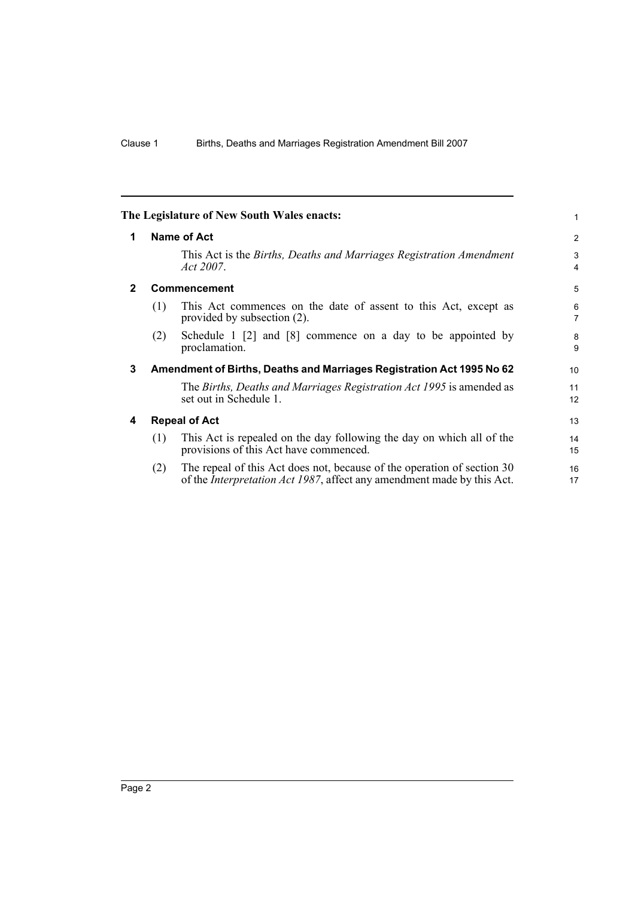<span id="page-5-3"></span><span id="page-5-2"></span><span id="page-5-1"></span><span id="page-5-0"></span>

|              |                                                                       | The Legislature of New South Wales enacts:                                                                                                                | 1                   |
|--------------|-----------------------------------------------------------------------|-----------------------------------------------------------------------------------------------------------------------------------------------------------|---------------------|
| 1            | Name of Act                                                           |                                                                                                                                                           |                     |
|              |                                                                       | This Act is the <i>Births, Deaths and Marriages Registration Amendment</i><br>Act 2007.                                                                   | 3<br>$\overline{4}$ |
| $\mathbf{2}$ | Commencement                                                          |                                                                                                                                                           | 5                   |
|              | (1)                                                                   | This Act commences on the date of assent to this Act, except as<br>provided by subsection (2).                                                            | 6<br>$\overline{7}$ |
|              | (2)                                                                   | Schedule 1 $[2]$ and $[8]$ commence on a day to be appointed by<br>proclamation.                                                                          | 8<br>9              |
| 3            | Amendment of Births, Deaths and Marriages Registration Act 1995 No 62 |                                                                                                                                                           |                     |
|              |                                                                       | The Births, Deaths and Marriages Registration Act 1995 is amended as<br>set out in Schedule 1.                                                            | 11<br>12            |
| 4            | <b>Repeal of Act</b>                                                  |                                                                                                                                                           |                     |
|              | (1)                                                                   | This Act is repealed on the day following the day on which all of the<br>provisions of this Act have commenced.                                           | 14<br>15            |
|              | (2)                                                                   | The repeal of this Act does not, because of the operation of section 30<br>of the <i>Interpretation Act 1987</i> , affect any amendment made by this Act. | 16<br>17            |
|              |                                                                       |                                                                                                                                                           |                     |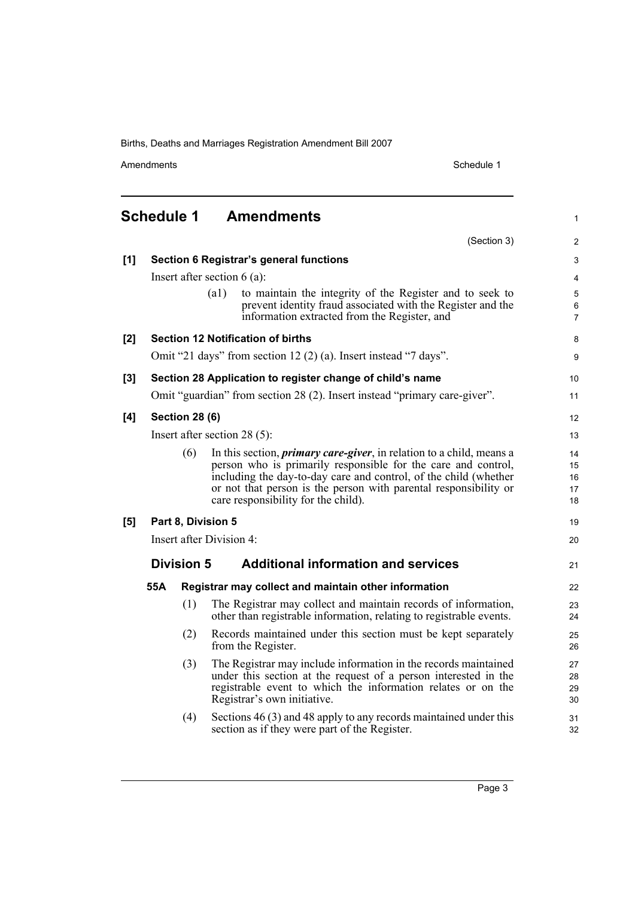Amendments Schedule 1

(Section 3)

1

2

## <span id="page-6-0"></span>**Schedule 1 Amendments**

| [1] |                                                                           |                       | <b>Section 6 Registrar's general functions</b>                                                                                                                                                                                                                                                                               | $\ensuremath{\mathsf{3}}$  |
|-----|---------------------------------------------------------------------------|-----------------------|------------------------------------------------------------------------------------------------------------------------------------------------------------------------------------------------------------------------------------------------------------------------------------------------------------------------------|----------------------------|
|     |                                                                           |                       | Insert after section $6$ (a):                                                                                                                                                                                                                                                                                                | 4                          |
|     |                                                                           |                       | (a1)<br>to maintain the integrity of the Register and to seek to<br>prevent identity fraud associated with the Register and the<br>information extracted from the Register, and                                                                                                                                              | $\sqrt{5}$<br>6<br>7       |
| [2] |                                                                           |                       | <b>Section 12 Notification of births</b>                                                                                                                                                                                                                                                                                     | 8                          |
|     | Omit "21 days" from section $12(2)$ (a). Insert instead "7 days".         |                       |                                                                                                                                                                                                                                                                                                                              |                            |
| [3] |                                                                           |                       | Section 28 Application to register change of child's name                                                                                                                                                                                                                                                                    | 10                         |
|     | Omit "guardian" from section 28 (2). Insert instead "primary care-giver". |                       |                                                                                                                                                                                                                                                                                                                              |                            |
| [4] |                                                                           | <b>Section 28 (6)</b> |                                                                                                                                                                                                                                                                                                                              | 12                         |
|     | Insert after section $28(5)$ :                                            |                       |                                                                                                                                                                                                                                                                                                                              |                            |
|     |                                                                           | (6)                   | In this section, <i>primary care-giver</i> , in relation to a child, means a<br>person who is primarily responsible for the care and control,<br>including the day-to-day care and control, of the child (whether<br>or not that person is the person with parental responsibility or<br>care responsibility for the child). | 14<br>15<br>16<br>17<br>18 |
| [5] | Part 8, Division 5                                                        |                       |                                                                                                                                                                                                                                                                                                                              | 19                         |
|     | Insert after Division 4:                                                  |                       |                                                                                                                                                                                                                                                                                                                              | 20                         |
|     |                                                                           | <b>Division 5</b>     | <b>Additional information and services</b>                                                                                                                                                                                                                                                                                   | 21                         |
|     | 55A                                                                       |                       | Registrar may collect and maintain other information                                                                                                                                                                                                                                                                         | 22                         |
|     |                                                                           | (1)                   | The Registrar may collect and maintain records of information,<br>other than registrable information, relating to registrable events.                                                                                                                                                                                        | 23<br>24                   |
|     |                                                                           | (2)                   | Records maintained under this section must be kept separately<br>from the Register.                                                                                                                                                                                                                                          | 25<br>26                   |
|     |                                                                           | (3)                   | The Registrar may include information in the records maintained<br>under this section at the request of a person interested in the<br>registrable event to which the information relates or on the<br>Registrar's own initiative.                                                                                            | 27<br>28<br>29<br>30       |
|     |                                                                           | (4)                   | Sections 46 (3) and 48 apply to any records maintained under this<br>section as if they were part of the Register.                                                                                                                                                                                                           | 31<br>32                   |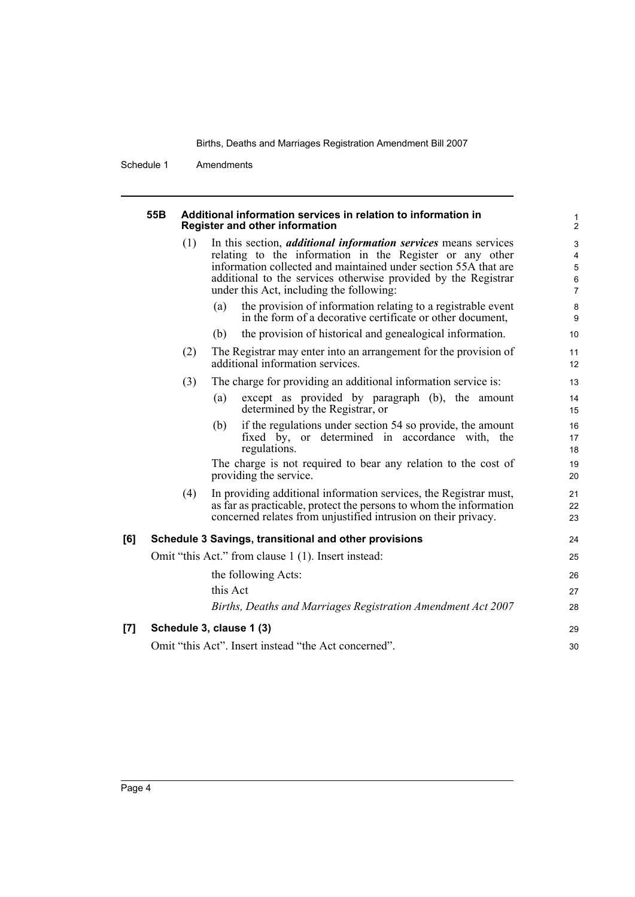1

Schedule 1 Amendments

#### **55B Additional information services in relation to information in Register and other information**

|     | Register and other information                      |                                                                                                                                                                                                                                                                                                                     | 2                                  |
|-----|-----------------------------------------------------|---------------------------------------------------------------------------------------------------------------------------------------------------------------------------------------------------------------------------------------------------------------------------------------------------------------------|------------------------------------|
|     | (1)                                                 | In this section, <i>additional information services</i> means services<br>relating to the information in the Register or any other<br>information collected and maintained under section 55A that are<br>additional to the services otherwise provided by the Registrar<br>under this Act, including the following: | 3<br>4<br>5<br>6<br>$\overline{7}$ |
|     |                                                     | the provision of information relating to a registrable event<br>(a)<br>in the form of a decorative certificate or other document,                                                                                                                                                                                   | 8<br>9                             |
|     |                                                     | the provision of historical and genealogical information.<br>(b)                                                                                                                                                                                                                                                    | 10                                 |
|     | (2)                                                 | The Registrar may enter into an arrangement for the provision of<br>additional information services.                                                                                                                                                                                                                | 11<br>12                           |
|     | (3)                                                 | The charge for providing an additional information service is:                                                                                                                                                                                                                                                      | 13                                 |
|     |                                                     | except as provided by paragraph (b), the amount<br>(a)<br>determined by the Registrar, or                                                                                                                                                                                                                           | 14<br>15                           |
|     |                                                     | if the regulations under section 54 so provide, the amount<br>(b)<br>fixed by, or determined in accordance with, the<br>regulations.                                                                                                                                                                                | 16<br>17<br>18                     |
|     |                                                     | The charge is not required to bear any relation to the cost of<br>providing the service.                                                                                                                                                                                                                            | 19<br>20                           |
|     | (4)                                                 | In providing additional information services, the Registrar must,<br>as far as practicable, protect the persons to whom the information<br>concerned relates from unjustified intrusion on their privacy.                                                                                                           | 21<br>22<br>23                     |
| [6] |                                                     | Schedule 3 Savings, transitional and other provisions                                                                                                                                                                                                                                                               | 24                                 |
|     | Omit "this Act." from clause 1 (1). Insert instead: |                                                                                                                                                                                                                                                                                                                     |                                    |
|     |                                                     | the following Acts:                                                                                                                                                                                                                                                                                                 | 26                                 |
|     |                                                     | this Act                                                                                                                                                                                                                                                                                                            | 27                                 |
|     |                                                     | Births, Deaths and Marriages Registration Amendment Act 2007                                                                                                                                                                                                                                                        | 28                                 |
| [7] |                                                     | Schedule 3, clause 1 (3)                                                                                                                                                                                                                                                                                            | 29                                 |
|     |                                                     | Omit "this Act". Insert instead "the Act concerned".                                                                                                                                                                                                                                                                | 30                                 |